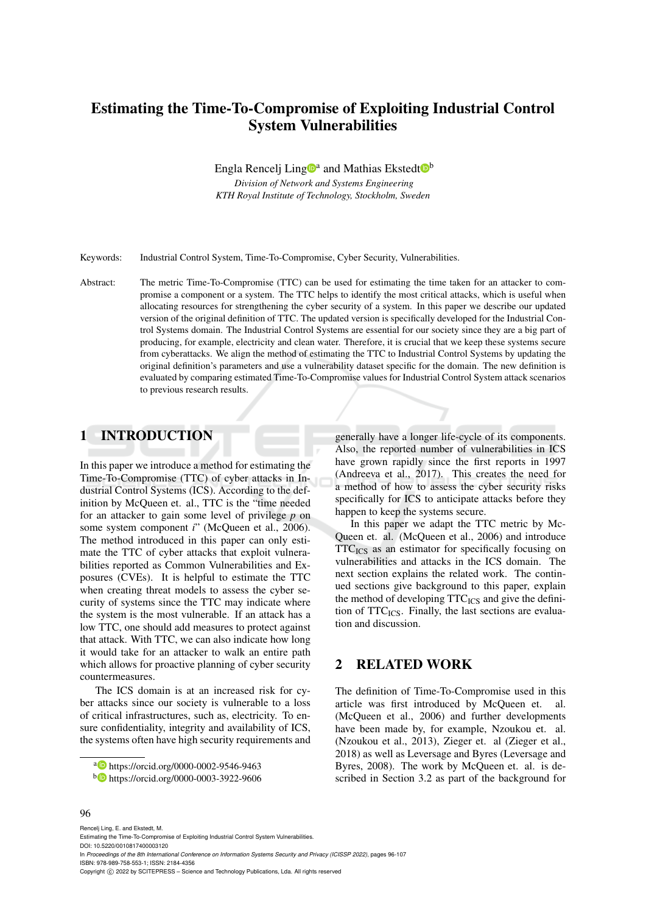# Estimating the Time-To-Compromise of Exploiting Industrial Control System Vulnerabilities

Engla Rencelj Ling<sup>na</sup> and Mathias Ekstedt<sup>nb</sup>

*Division of Network and Systems Engineering KTH Royal Institute of Technology, Stockholm, Sweden*

Keywords: Industrial Control System, Time-To-Compromise, Cyber Security, Vulnerabilities.

Abstract: The metric Time-To-Compromise (TTC) can be used for estimating the time taken for an attacker to compromise a component or a system. The TTC helps to identify the most critical attacks, which is useful when allocating resources for strengthening the cyber security of a system. In this paper we describe our updated version of the original definition of TTC. The updated version is specifically developed for the Industrial Control Systems domain. The Industrial Control Systems are essential for our society since they are a big part of producing, for example, electricity and clean water. Therefore, it is crucial that we keep these systems secure from cyberattacks. We align the method of estimating the TTC to Industrial Control Systems by updating the original definition's parameters and use a vulnerability dataset specific for the domain. The new definition is evaluated by comparing estimated Time-To-Compromise values for Industrial Control System attack scenarios to previous research results.

## 1 INTRODUCTION

In this paper we introduce a method for estimating the Time-To-Compromise (TTC) of cyber attacks in Industrial Control Systems (ICS). According to the definition by McQueen et. al., TTC is the "time needed for an attacker to gain some level of privilege *p* on some system component *i*" (McQueen et al., 2006). The method introduced in this paper can only estimate the TTC of cyber attacks that exploit vulnerabilities reported as Common Vulnerabilities and Exposures (CVEs). It is helpful to estimate the TTC when creating threat models to assess the cyber security of systems since the TTC may indicate where the system is the most vulnerable. If an attack has a low TTC, one should add measures to protect against that attack. With TTC, we can also indicate how long it would take for an attacker to walk an entire path which allows for proactive planning of cyber security countermeasures.

The ICS domain is at an increased risk for cyber attacks since our society is vulnerable to a loss of critical infrastructures, such as, electricity. To ensure confidentiality, integrity and availability of ICS, the systems often have high security requirements and

a https://orcid.org/0000-0002-9546-9463

generally have a longer life-cycle of its components. Also, the reported number of vulnerabilities in ICS have grown rapidly since the first reports in 1997 (Andreeva et al., 2017). This creates the need for a method of how to assess the cyber security risks specifically for ICS to anticipate attacks before they happen to keep the systems secure.

In this paper we adapt the TTC metric by Mc-Queen et. al. (McQueen et al., 2006) and introduce TTC<sub>ICS</sub> as an estimator for specifically focusing on vulnerabilities and attacks in the ICS domain. The next section explains the related work. The continued sections give background to this paper, explain the method of developing  $TTC_{ICS}$  and give the definition of  $TTC_{ICS}$ . Finally, the last sections are evaluation and discussion.

## 2 RELATED WORK

The definition of Time-To-Compromise used in this article was first introduced by McQueen et. al. (McQueen et al., 2006) and further developments have been made by, for example, Nzoukou et. al. (Nzoukou et al., 2013), Zieger et. al (Zieger et al., 2018) as well as Leversage and Byres (Leversage and Byres, 2008). The work by McQueen et. al. is described in Section 3.2 as part of the background for

<sup>b</sup> https://orcid.org/0000-0003-3922-9606

Rencelj Ling, E. and Ekstedt, M. Estimating the Time-To-Compromise of Exploiting Industrial Control System Vulnerabilities. DOI: 10.5220/0010817400003120 In *Proceedings of the 8th International Conference on Information Systems Security and Privacy (ICISSP 2022)*, pages 96-107 ISBN: 978-989-758-553-1; ISSN: 2184-4356 Copyright (C) 2022 by SCITEPRESS - Science and Technology Publications, Lda. All rights reserved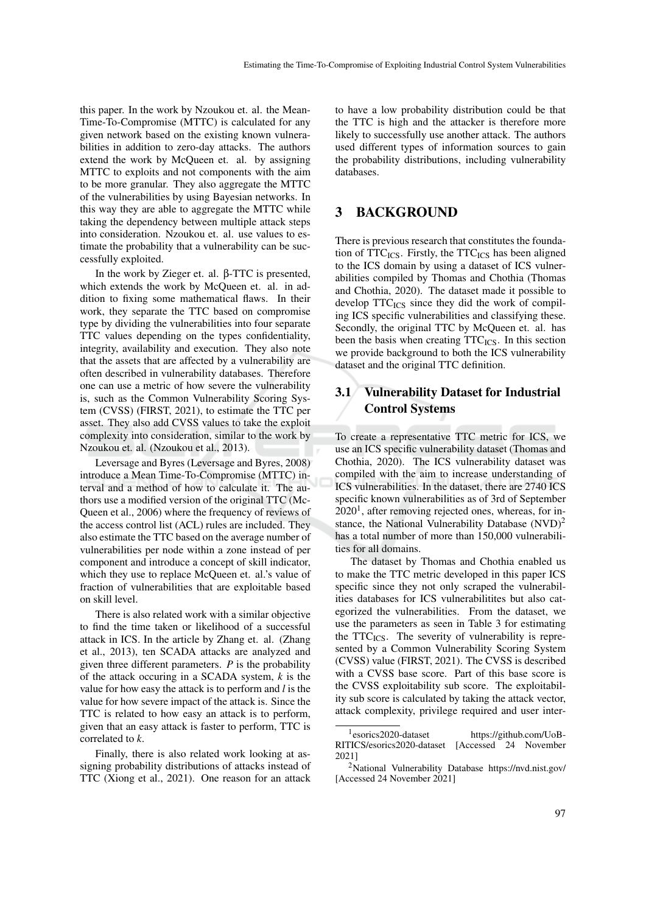this paper. In the work by Nzoukou et. al. the Mean-Time-To-Compromise (MTTC) is calculated for any given network based on the existing known vulnerabilities in addition to zero-day attacks. The authors extend the work by McQueen et. al. by assigning MTTC to exploits and not components with the aim to be more granular. They also aggregate the MTTC of the vulnerabilities by using Bayesian networks. In this way they are able to aggregate the MTTC while taking the dependency between multiple attack steps into consideration. Nzoukou et. al. use values to estimate the probability that a vulnerability can be successfully exploited.

In the work by Zieger et. al. β-TTC is presented, which extends the work by McQueen et. al. in addition to fixing some mathematical flaws. In their work, they separate the TTC based on compromise type by dividing the vulnerabilities into four separate TTC values depending on the types confidentiality, integrity, availability and execution. They also note that the assets that are affected by a vulnerability are often described in vulnerability databases. Therefore one can use a metric of how severe the vulnerability is, such as the Common Vulnerability Scoring System (CVSS) (FIRST, 2021), to estimate the TTC per asset. They also add CVSS values to take the exploit complexity into consideration, similar to the work by Nzoukou et. al. (Nzoukou et al., 2013).

Leversage and Byres (Leversage and Byres, 2008) introduce a Mean Time-To-Compromise (MTTC) interval and a method of how to calculate it. The authors use a modified version of the original TTC (Mc-Queen et al., 2006) where the frequency of reviews of the access control list (ACL) rules are included. They also estimate the TTC based on the average number of vulnerabilities per node within a zone instead of per component and introduce a concept of skill indicator, which they use to replace McQueen et. al.'s value of fraction of vulnerabilities that are exploitable based on skill level.

There is also related work with a similar objective to find the time taken or likelihood of a successful attack in ICS. In the article by Zhang et. al. (Zhang et al., 2013), ten SCADA attacks are analyzed and given three different parameters. *P* is the probability of the attack occuring in a SCADA system, *k* is the value for how easy the attack is to perform and *l* is the value for how severe impact of the attack is. Since the TTC is related to how easy an attack is to perform, given that an easy attack is faster to perform, TTC is correlated to *k*.

Finally, there is also related work looking at assigning probability distributions of attacks instead of TTC (Xiong et al., 2021). One reason for an attack

to have a low probability distribution could be that the TTC is high and the attacker is therefore more likely to successfully use another attack. The authors used different types of information sources to gain the probability distributions, including vulnerability databases.

### 3 BACKGROUND

There is previous research that constitutes the foundation of  $TTC_{ICS}$ . Firstly, the  $TTC_{ICS}$  has been aligned to the ICS domain by using a dataset of ICS vulnerabilities compiled by Thomas and Chothia (Thomas and Chothia, 2020). The dataset made it possible to develop  $TTC_{ICS}$  since they did the work of compiling ICS specific vulnerabilities and classifying these. Secondly, the original TTC by McQueen et. al. has been the basis when creating  $TTC<sub>ICS</sub>$ . In this section we provide background to both the ICS vulnerability dataset and the original TTC definition.

## 3.1 Vulnerability Dataset for Industrial Control Systems

To create a representative TTC metric for ICS, we use an ICS specific vulnerability dataset (Thomas and Chothia, 2020). The ICS vulnerability dataset was compiled with the aim to increase understanding of ICS vulnerabilities. In the dataset, there are 2740 ICS specific known vulnerabilities as of 3rd of September  $2020<sup>1</sup>$ , after removing rejected ones, whereas, for instance, the National Vulnerability Database  $(NUD)^2$ has a total number of more than 150,000 vulnerabilities for all domains.

The dataset by Thomas and Chothia enabled us to make the TTC metric developed in this paper ICS specific since they not only scraped the vulnerabilities databases for ICS vulnerabilitites but also categorized the vulnerabilities. From the dataset, we use the parameters as seen in Table 3 for estimating the  $TTC_{ICS}$ . The severity of vulnerability is represented by a Common Vulnerability Scoring System (CVSS) value (FIRST, 2021). The CVSS is described with a CVSS base score. Part of this base score is the CVSS exploitability sub score. The exploitability sub score is calculated by taking the attack vector, attack complexity, privilege required and user inter-

 $1$ esorics2020-dataset https://github.com/UoB-RITICS/esorics2020-dataset [Accessed 24 November 2021]

<sup>2</sup>National Vulnerability Database https://nvd.nist.gov/ [Accessed 24 November 2021]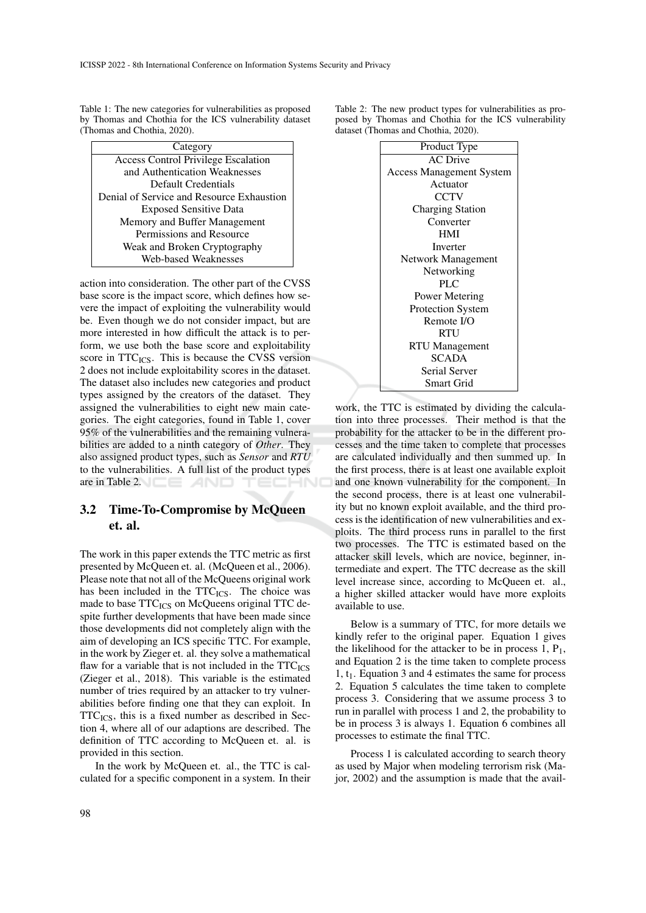Table 1: The new categories for vulnerabilities as proposed by Thomas and Chothia for the ICS vulnerability dataset (Thomas and Chothia, 2020).

| Category                                   |  |  |
|--------------------------------------------|--|--|
| <b>Access Control Privilege Escalation</b> |  |  |
| and Authentication Weaknesses              |  |  |
| Default Credentials                        |  |  |
| Denial of Service and Resource Exhaustion  |  |  |
| <b>Exposed Sensitive Data</b>              |  |  |
| Memory and Buffer Management               |  |  |
| Permissions and Resource                   |  |  |
| Weak and Broken Cryptography               |  |  |
| Web-based Weaknesses                       |  |  |

action into consideration. The other part of the CVSS base score is the impact score, which defines how severe the impact of exploiting the vulnerability would be. Even though we do not consider impact, but are more interested in how difficult the attack is to perform, we use both the base score and exploitability score in  $TTC_{ICS}$ . This is because the CVSS version 2 does not include exploitability scores in the dataset. The dataset also includes new categories and product types assigned by the creators of the dataset. They assigned the vulnerabilities to eight new main categories. The eight categories, found in Table 1, cover 95% of the vulnerabilities and the remaining vulnerabilities are added to a ninth category of *Other*. They also assigned product types, such as *Sensor* and *RTU* to the vulnerabilities. A full list of the product types are in Table 2.

## 3.2 Time-To-Compromise by McQueen et. al.

The work in this paper extends the TTC metric as first presented by McQueen et. al. (McQueen et al., 2006). Please note that not all of the McQueens original work has been included in the TTC<sub>ICS</sub>. The choice was made to base TTC<sub>ICS</sub> on McQueens original TTC despite further developments that have been made since those developments did not completely align with the aim of developing an ICS specific TTC. For example, in the work by Zieger et. al. they solve a mathematical flaw for a variable that is not included in the  $TTC_{ICS}$ (Zieger et al., 2018). This variable is the estimated number of tries required by an attacker to try vulnerabilities before finding one that they can exploit. In  $TTC_{ICS}$ , this is a fixed number as described in Section 4, where all of our adaptions are described. The definition of TTC according to McQueen et. al. is provided in this section.

In the work by McQueen et. al., the TTC is calculated for a specific component in a system. In their

Table 2: The new product types for vulnerabilities as proposed by Thomas and Chothia for the ICS vulnerability dataset (Thomas and Chothia, 2020).



work, the TTC is estimated by dividing the calculation into three processes. Their method is that the probability for the attacker to be in the different processes and the time taken to complete that processes are calculated individually and then summed up. In the first process, there is at least one available exploit and one known vulnerability for the component. In the second process, there is at least one vulnerability but no known exploit available, and the third process is the identification of new vulnerabilities and exploits. The third process runs in parallel to the first two processes. The TTC is estimated based on the attacker skill levels, which are novice, beginner, intermediate and expert. The TTC decrease as the skill level increase since, according to McQueen et. al., a higher skilled attacker would have more exploits available to use.

Below is a summary of TTC, for more details we kindly refer to the original paper. Equation 1 gives the likelihood for the attacker to be in process  $1, P_1$ , and Equation 2 is the time taken to complete process 1,  $t_1$ . Equation 3 and 4 estimates the same for process 2. Equation 5 calculates the time taken to complete process 3. Considering that we assume process 3 to run in parallel with process 1 and 2, the probability to be in process 3 is always 1. Equation 6 combines all processes to estimate the final TTC.

Process 1 is calculated according to search theory as used by Major when modeling terrorism risk (Major, 2002) and the assumption is made that the avail-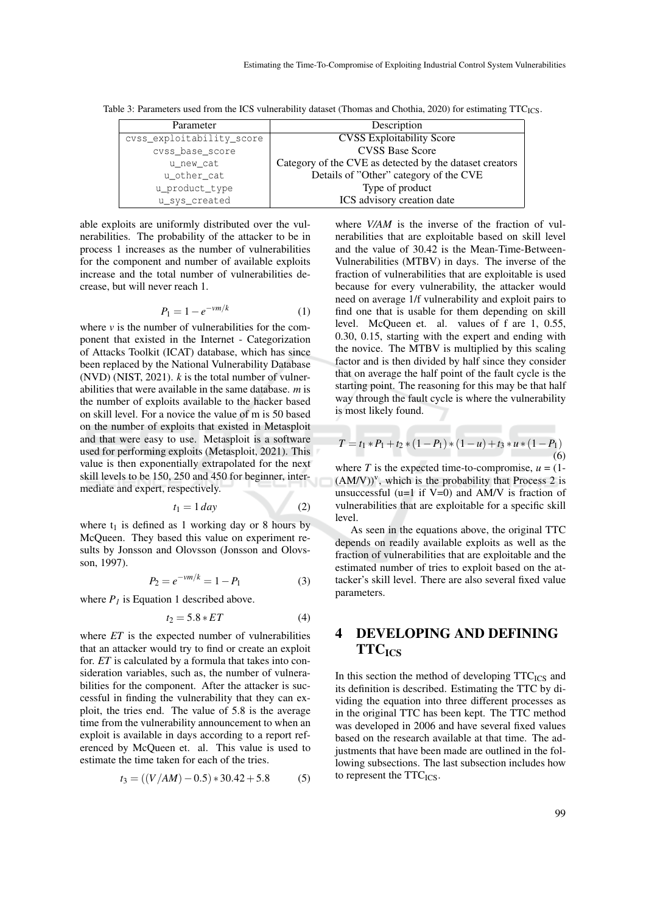| Parameter                 | Description                                             |  |
|---------------------------|---------------------------------------------------------|--|
| cvss_exploitability_score | <b>CVSS Exploitability Score</b>                        |  |
| cvss base score           | <b>CVSS Base Score</b>                                  |  |
| u new cat                 | Category of the CVE as detected by the dataset creators |  |
| u other cat               | Details of "Other" category of the CVE                  |  |
| u_product_type            | Type of product                                         |  |
| u_sys_created             | ICS advisory creation date                              |  |

Table 3: Parameters used from the ICS vulnerability dataset (Thomas and Chothia, 2020) for estimating TTC<sub>ICS</sub>.

able exploits are uniformly distributed over the vulnerabilities. The probability of the attacker to be in process 1 increases as the number of vulnerabilities for the component and number of available exploits increase and the total number of vulnerabilities decrease, but will never reach 1.

$$
P_1 = 1 - e^{-\nu m/k} \tag{1}
$$

where  $\nu$  is the number of vulnerabilities for the component that existed in the Internet - Categorization of Attacks Toolkit (ICAT) database, which has since been replaced by the National Vulnerability Database (NVD) (NIST, 2021). *k* is the total number of vulnerabilities that were available in the same database. *m* is the number of exploits available to the hacker based on skill level. For a novice the value of m is 50 based on the number of exploits that existed in Metasploit and that were easy to use. Metasploit is a software used for performing exploits (Metasploit, 2021). This value is then exponentially extrapolated for the next skill levels to be 150, 250 and 450 for beginner, intermediate and expert, respectively.

$$
t_1 = 1 \, day \tag{2}
$$

where  $t_1$  is defined as 1 working day or 8 hours by McQueen. They based this value on experiment results by Jonsson and Olovsson (Jonsson and Olovsson, 1997).

$$
P_2 = e^{-vm/k} = 1 - P_1 \tag{3}
$$

where  $P_I$  is Equation 1 described above.

$$
t_2 = 5.8 \times ET \tag{4}
$$

where *ET* is the expected number of vulnerabilities that an attacker would try to find or create an exploit for. *ET* is calculated by a formula that takes into consideration variables, such as, the number of vulnerabilities for the component. After the attacker is successful in finding the vulnerability that they can exploit, the tries end. The value of 5.8 is the average time from the vulnerability announcement to when an exploit is available in days according to a report referenced by McQueen et. al. This value is used to estimate the time taken for each of the tries.

$$
t_3 = ((V/AM) - 0.5) * 30.42 + 5.8
$$
 (5)

where *V/AM* is the inverse of the fraction of vulnerabilities that are exploitable based on skill level and the value of 30.42 is the Mean-Time-Between-Vulnerabilities (MTBV) in days. The inverse of the fraction of vulnerabilities that are exploitable is used because for every vulnerability, the attacker would need on average 1/f vulnerability and exploit pairs to find one that is usable for them depending on skill level. McQueen et. al. values of f are 1, 0.55, 0.30, 0.15, starting with the expert and ending with the novice. The MTBV is multiplied by this scaling factor and is then divided by half since they consider that on average the half point of the fault cycle is the starting point. The reasoning for this may be that half way through the fault cycle is where the vulnerability is most likely found.

$$
T = t_1 * P_1 + t_2 * (1 - P_1) * (1 - u) + t_3 * u * (1 - P_1)
$$
\n(6)

where *T* is the expected time-to-compromise,  $u = (1 (AM/V)$ <sup>v</sup>, which is the probability that Process 2 is unsuccessful ( $u=1$  if  $V=0$ ) and AM/V is fraction of vulnerabilities that are exploitable for a specific skill level.

As seen in the equations above, the original TTC depends on readily available exploits as well as the fraction of vulnerabilities that are exploitable and the estimated number of tries to exploit based on the attacker's skill level. There are also several fixed value parameters.

# 4 DEVELOPING AND DEFINING **TTC**<sub>ICS</sub>

In this section the method of developing  $TTC_{ICS}$  and its definition is described. Estimating the TTC by dividing the equation into three different processes as in the original TTC has been kept. The TTC method was developed in 2006 and have several fixed values based on the research available at that time. The adjustments that have been made are outlined in the following subsections. The last subsection includes how to represent the  $TTC_{ICS}$ .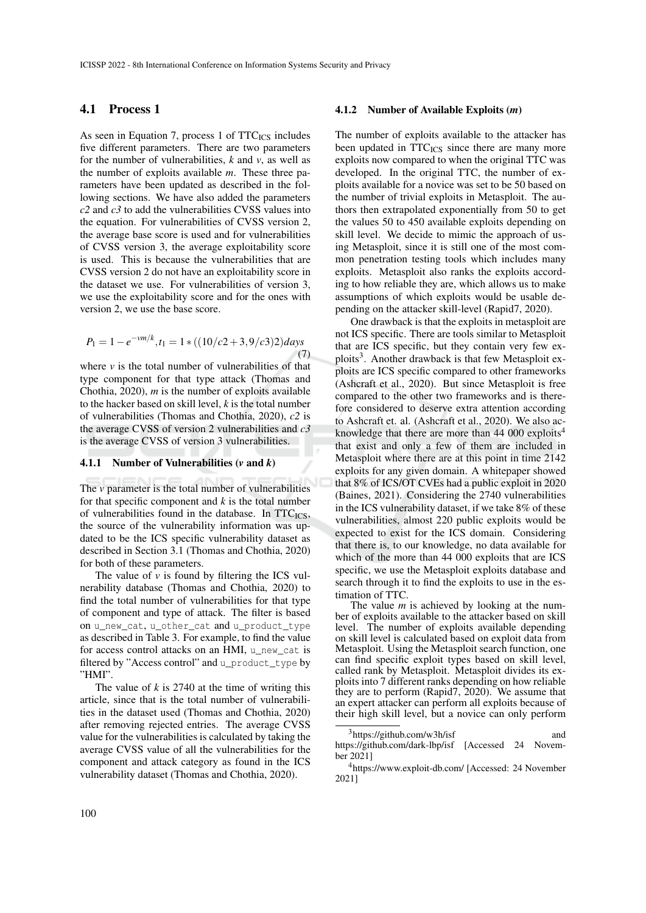### 4.1 Process 1

As seen in Equation 7, process 1 of  $TTC_{ICS}$  includes five different parameters. There are two parameters for the number of vulnerabilities,  $k$  and  $v$ , as well as the number of exploits available *m*. These three parameters have been updated as described in the following sections. We have also added the parameters *c2* and *c3* to add the vulnerabilities CVSS values into the equation. For vulnerabilities of CVSS version 2, the average base score is used and for vulnerabilities of CVSS version 3, the average exploitability score is used. This is because the vulnerabilities that are CVSS version 2 do not have an exploitability score in the dataset we use. For vulnerabilities of version 3, we use the exploitability score and for the ones with version 2, we use the base score.

$$
P_1 = 1 - e^{-vm/k}, t_1 = 1 * ((10/c2 + 3, 9/c3)2) days
$$
\n(7)

where  $\nu$  is the total number of vulnerabilities of that type component for that type attack (Thomas and Chothia, 2020), *m* is the number of exploits available to the hacker based on skill level, *k* is the total number of vulnerabilities (Thomas and Chothia, 2020), *c2* is the average CVSS of version 2 vulnerabilities and *c3* is the average CVSS of version 3 vulnerabilities.

#### 4.1.1 Number of Vulnerabilities (*v* and *k*)

The *v* parameter is the total number of vulnerabilities for that specific component and *k* is the total number of vulnerabilities found in the database. In  $TTC_{ICS}$ , the source of the vulnerability information was updated to be the ICS specific vulnerability dataset as described in Section 3.1 (Thomas and Chothia, 2020) for both of these parameters.

The value of  $\nu$  is found by filtering the ICS vulnerability database (Thomas and Chothia, 2020) to find the total number of vulnerabilities for that type of component and type of attack. The filter is based on u\_new\_cat, u\_other\_cat and u\_product\_type as described in Table 3. For example, to find the value for access control attacks on an HMI, u\_new\_cat is filtered by "Access control" and u\_product\_type by "HMI".

The value of  $k$  is 2740 at the time of writing this article, since that is the total number of vulnerabilities in the dataset used (Thomas and Chothia, 2020) after removing rejected entries. The average CVSS value for the vulnerabilities is calculated by taking the average CVSS value of all the vulnerabilities for the component and attack category as found in the ICS vulnerability dataset (Thomas and Chothia, 2020).

#### 4.1.2 Number of Available Exploits (*m*)

The number of exploits available to the attacker has been updated in TTC<sub>ICS</sub> since there are many more exploits now compared to when the original TTC was developed. In the original TTC, the number of exploits available for a novice was set to be 50 based on the number of trivial exploits in Metasploit. The authors then extrapolated exponentially from 50 to get the values 50 to 450 available exploits depending on skill level. We decide to mimic the approach of using Metasploit, since it is still one of the most common penetration testing tools which includes many exploits. Metasploit also ranks the exploits according to how reliable they are, which allows us to make assumptions of which exploits would be usable depending on the attacker skill-level (Rapid7, 2020).

One drawback is that the exploits in metasploit are not ICS specific. There are tools similar to Metasploit that are ICS specific, but they contain very few exploits<sup>3</sup>. Another drawback is that few Metasploit exploits are ICS specific compared to other frameworks (Ashcraft et al., 2020). But since Metasploit is free compared to the other two frameworks and is therefore considered to deserve extra attention according to Ashcraft et. al. (Ashcraft et al., 2020). We also acknowledge that there are more than  $44\,000$  exploits<sup>4</sup> that exist and only a few of them are included in Metasploit where there are at this point in time 2142 exploits for any given domain. A whitepaper showed that 8% of ICS/OT CVEs had a public exploit in 2020 (Baines, 2021). Considering the 2740 vulnerabilities in the ICS vulnerability dataset, if we take 8% of these vulnerabilities, almost 220 public exploits would be expected to exist for the ICS domain. Considering that there is, to our knowledge, no data available for which of the more than 44 000 exploits that are ICS specific, we use the Metasploit exploits database and search through it to find the exploits to use in the estimation of TTC.

The value *m* is achieved by looking at the number of exploits available to the attacker based on skill level. The number of exploits available depending on skill level is calculated based on exploit data from Metasploit. Using the Metasploit search function, one can find specific exploit types based on skill level, called rank by Metasploit. Metasploit divides its exploits into 7 different ranks depending on how reliable they are to perform (Rapid7, 2020). We assume that an expert attacker can perform all exploits because of their high skill level, but a novice can only perform

 $3$ https://github.com/w3h/isf and https://github.com/dark-lbp/isf [Accessed 24 November 2021]

<sup>4</sup>https://www.exploit-db.com/ [Accessed: 24 November 2021]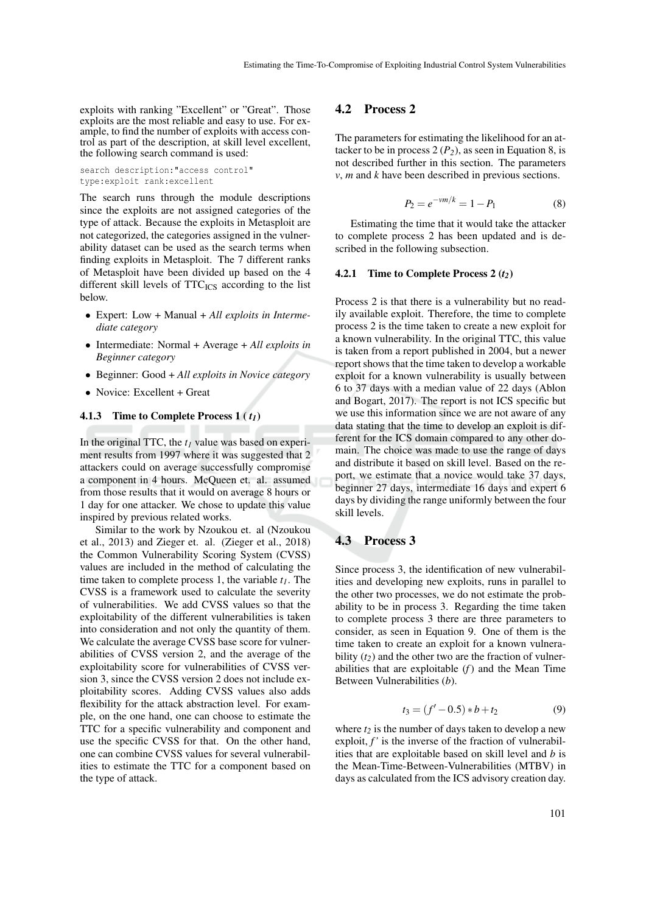exploits with ranking "Excellent" or "Great". Those exploits are the most reliable and easy to use. For example, to find the number of exploits with access control as part of the description, at skill level excellent, the following search command is used:

search description:"access control" type:exploit rank:excellent

The search runs through the module descriptions since the exploits are not assigned categories of the type of attack. Because the exploits in Metasploit are not categorized, the categories assigned in the vulnerability dataset can be used as the search terms when finding exploits in Metasploit. The 7 different ranks of Metasploit have been divided up based on the 4 different skill levels of  $TTC_{ICS}$  according to the list below.

- Expert: Low + Manual + *All exploits in Intermediate category*
- Intermediate: Normal + Average + *All exploits in Beginner category*
- Beginner: Good + *All exploits in Novice category*
- Novice: Excellent + Great

#### 4.1.3 Time to Complete Process 1 ( *t1*)

In the original TTC, the  $t_I$  value was based on experiment results from 1997 where it was suggested that 2 attackers could on average successfully compromise a component in 4 hours. McQueen et. al. assumed from those results that it would on average 8 hours or 1 day for one attacker. We chose to update this value inspired by previous related works.

Similar to the work by Nzoukou et. al (Nzoukou et al., 2013) and Zieger et. al. (Zieger et al., 2018) the Common Vulnerability Scoring System (CVSS) values are included in the method of calculating the time taken to complete process 1, the variable *t1*. The CVSS is a framework used to calculate the severity of vulnerabilities. We add CVSS values so that the exploitability of the different vulnerabilities is taken into consideration and not only the quantity of them. We calculate the average CVSS base score for vulnerabilities of CVSS version 2, and the average of the exploitability score for vulnerabilities of CVSS version 3, since the CVSS version 2 does not include exploitability scores. Adding CVSS values also adds flexibility for the attack abstraction level. For example, on the one hand, one can choose to estimate the TTC for a specific vulnerability and component and use the specific CVSS for that. On the other hand, one can combine CVSS values for several vulnerabilities to estimate the TTC for a component based on the type of attack.

#### 4.2 Process 2

The parameters for estimating the likelihood for an attacker to be in process  $2(P_2)$ , as seen in Equation 8, is not described further in this section. The parameters *v*, *m* and *k* have been described in previous sections.

$$
P_2 = e^{-\nu m/k} = 1 - P_1 \tag{8}
$$

Estimating the time that it would take the attacker to complete process 2 has been updated and is described in the following subsection.

#### 4.2.1 Time to Complete Process 2 (*t2*)

Process 2 is that there is a vulnerability but no readily available exploit. Therefore, the time to complete process 2 is the time taken to create a new exploit for a known vulnerability. In the original TTC, this value is taken from a report published in 2004, but a newer report shows that the time taken to develop a workable exploit for a known vulnerability is usually between 6 to 37 days with a median value of 22 days (Ablon and Bogart, 2017). The report is not ICS specific but we use this information since we are not aware of any data stating that the time to develop an exploit is different for the ICS domain compared to any other domain. The choice was made to use the range of days and distribute it based on skill level. Based on the report, we estimate that a novice would take 37 days, beginner 27 days, intermediate 16 days and expert 6 days by dividing the range uniformly between the four skill levels.

#### 4.3 Process 3

Since process 3, the identification of new vulnerabilities and developing new exploits, runs in parallel to the other two processes, we do not estimate the probability to be in process 3. Regarding the time taken to complete process 3 there are three parameters to consider, as seen in Equation 9. One of them is the time taken to create an exploit for a known vulnerability (*t2*) and the other two are the fraction of vulnerabilities that are exploitable (*f*) and the Mean Time Between Vulnerabilities (*b*).

$$
t_3 = (f' - 0.5) * b + t_2 \tag{9}
$$

where  $t_2$  is the number of days taken to develop a new exploit,  $f'$  is the inverse of the fraction of vulnerabilities that are exploitable based on skill level and *b* is the Mean-Time-Between-Vulnerabilities (MTBV) in days as calculated from the ICS advisory creation day.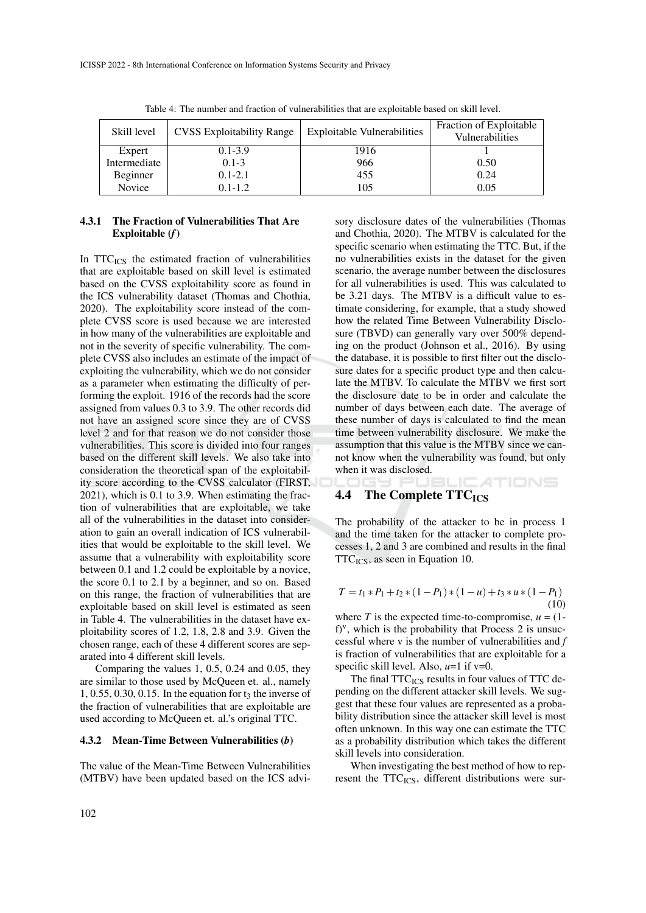| Skill level  | <b>CVSS</b> Exploitability Range | <b>Exploitable Vulnerabilities</b> | Fraction of Exploitable<br>Vulnerabilities |
|--------------|----------------------------------|------------------------------------|--------------------------------------------|
| Expert       | $0.1 - 3.9$                      | 1916                               |                                            |
| Intermediate | $0.1 - 3$                        | 966                                | 0.50                                       |
| Beginner     | $0.1 - 2.1$                      | 455                                | 0.24                                       |
| Novice       | $0.1 - 1.2$                      | 105                                | 0.05                                       |

Table 4: The number and fraction of vulnerabilities that are exploitable based on skill level.

### 4.3.1 The Fraction of Vulnerabilities That Are Exploitable (*f*)

In  $TTC_{ICS}$  the estimated fraction of vulnerabilities that are exploitable based on skill level is estimated based on the CVSS exploitability score as found in the ICS vulnerability dataset (Thomas and Chothia, 2020). The exploitability score instead of the complete CVSS score is used because we are interested in how many of the vulnerabilities are exploitable and not in the severity of specific vulnerability. The complete CVSS also includes an estimate of the impact of exploiting the vulnerability, which we do not consider as a parameter when estimating the difficulty of performing the exploit. 1916 of the records had the score assigned from values 0.3 to 3.9. The other records did not have an assigned score since they are of CVSS level 2 and for that reason we do not consider those vulnerabilities. This score is divided into four ranges based on the different skill levels. We also take into consideration the theoretical span of the exploitability score according to the CVSS calculator (FIRST, 2021), which is 0.1 to 3.9. When estimating the fraction of vulnerabilities that are exploitable, we take all of the vulnerabilities in the dataset into consideration to gain an overall indication of ICS vulnerabilities that would be exploitable to the skill level. We assume that a vulnerability with exploitability score between 0.1 and 1.2 could be exploitable by a novice, the score 0.1 to 2.1 by a beginner, and so on. Based on this range, the fraction of vulnerabilities that are exploitable based on skill level is estimated as seen in Table 4. The vulnerabilities in the dataset have exploitability scores of 1.2, 1.8, 2.8 and 3.9. Given the chosen range, each of these 4 different scores are separated into 4 different skill levels.

Comparing the values 1, 0.5, 0.24 and 0.05, they are similar to those used by McQueen et. al., namely  $1, 0.55, 0.30, 0.15$ . In the equation for  $t_3$  the inverse of the fraction of vulnerabilities that are exploitable are used according to McQueen et. al.'s original TTC.

#### 4.3.2 Mean-Time Between Vulnerabilities (*b*)

The value of the Mean-Time Between Vulnerabilities (MTBV) have been updated based on the ICS advi-

sory disclosure dates of the vulnerabilities (Thomas and Chothia, 2020). The MTBV is calculated for the specific scenario when estimating the TTC. But, if the no vulnerabilities exists in the dataset for the given scenario, the average number between the disclosures for all vulnerabilities is used. This was calculated to be 3.21 days. The MTBV is a difficult value to estimate considering, for example, that a study showed how the related Time Between Vulnerability Disclosure (TBVD) can generally vary over 500% depending on the product (Johnson et al., 2016). By using the database, it is possible to first filter out the disclosure dates for a specific product type and then calculate the MTBV. To calculate the MTBV we first sort the disclosure date to be in order and calculate the number of days between each date. The average of these number of days is calculated to find the mean time between vulnerability disclosure. We make the assumption that this value is the MTBV since we cannot know when the vulnerability was found, but only when it was disclosed.

### 4.4 The Complete  $TTC_{ICS}$

The probability of the attacker to be in process 1 and the time taken for the attacker to complete processes 1, 2 and 3 are combined and results in the final  $TTC<sub>ICS</sub>$ , as seen in Equation 10.

: ATIONS

$$
T = t_1 * P_1 + t_2 * (1 - P_1) * (1 - u) + t_3 * u * (1 - P_1)
$$
  
(10)

where  $T$  is the expected time-to-compromise,  $u = (1$  $f$ <sup>v</sup>, which is the probability that Process 2 is unsuccessful where v is the number of vulnerabilities and *f* is fraction of vulnerabilities that are exploitable for a specific skill level. Also,  $u=1$  if  $v=0$ .

The final  $TTC_{ICS}$  results in four values of TTC depending on the different attacker skill levels. We suggest that these four values are represented as a probability distribution since the attacker skill level is most often unknown. In this way one can estimate the TTC as a probability distribution which takes the different skill levels into consideration.

When investigating the best method of how to represent the  $TTC<sub>ICS</sub>$ , different distributions were sur-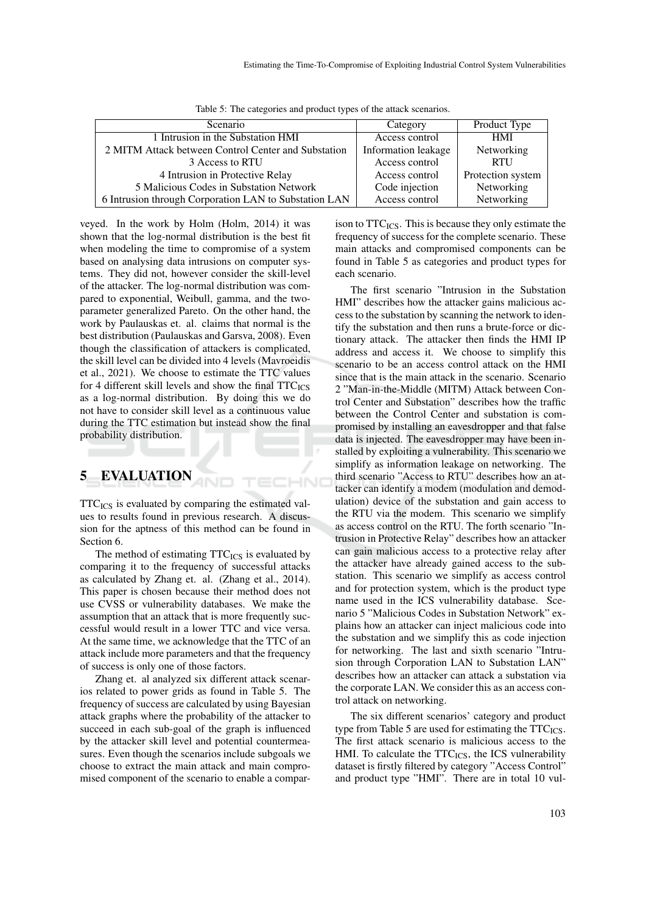| Scenario                                              | Category            | Product Type      |  |  |
|-------------------------------------------------------|---------------------|-------------------|--|--|
| 1 Intrusion in the Substation HMI                     | Access control      | <b>HMI</b>        |  |  |
| 2 MITM Attack between Control Center and Substation   | Information leakage | Networking        |  |  |
| 3 Access to RTU                                       | Access control      | <b>RTU</b>        |  |  |
| 4 Intrusion in Protective Relay                       | Access control      | Protection system |  |  |
| 5 Malicious Codes in Substation Network               | Code injection      | Networking        |  |  |
| 6 Intrusion through Corporation LAN to Substation LAN | Access control      | Networking        |  |  |

ECHNO

Table 5: The categories and product types of the attack scenarios.

veyed. In the work by Holm (Holm, 2014) it was shown that the log-normal distribution is the best fit when modeling the time to compromise of a system based on analysing data intrusions on computer systems. They did not, however consider the skill-level of the attacker. The log-normal distribution was compared to exponential, Weibull, gamma, and the twoparameter generalized Pareto. On the other hand, the work by Paulauskas et. al. claims that normal is the best distribution (Paulauskas and Garsva, 2008). Even though the classification of attackers is complicated, the skill level can be divided into 4 levels (Mavroeidis et al., 2021). We choose to estimate the TTC values for 4 different skill levels and show the final  $TTC_{ICS}$ as a log-normal distribution. By doing this we do not have to consider skill level as a continuous value during the TTC estimation but instead show the final probability distribution.

## 5 EVALUATION

 $TTC_{ICS}$  is evaluated by comparing the estimated values to results found in previous research. A discussion for the aptness of this method can be found in Section 6.

The method of estimating  $TTC_{ICS}$  is evaluated by comparing it to the frequency of successful attacks as calculated by Zhang et. al. (Zhang et al., 2014). This paper is chosen because their method does not use CVSS or vulnerability databases. We make the assumption that an attack that is more frequently successful would result in a lower TTC and vice versa. At the same time, we acknowledge that the TTC of an attack include more parameters and that the frequency of success is only one of those factors.

Zhang et. al analyzed six different attack scenarios related to power grids as found in Table 5. The frequency of success are calculated by using Bayesian attack graphs where the probability of the attacker to succeed in each sub-goal of the graph is influenced by the attacker skill level and potential countermeasures. Even though the scenarios include subgoals we choose to extract the main attack and main compromised component of the scenario to enable a compar-

ison to  $TTC<sub>ICS</sub>$ . This is because they only estimate the frequency of success for the complete scenario. These main attacks and compromised components can be found in Table 5 as categories and product types for each scenario.

The first scenario "Intrusion in the Substation HMI" describes how the attacker gains malicious access to the substation by scanning the network to identify the substation and then runs a brute-force or dictionary attack. The attacker then finds the HMI IP address and access it. We choose to simplify this scenario to be an access control attack on the HMI since that is the main attack in the scenario. Scenario 2 "Man-in-the-Middle (MITM) Attack between Control Center and Substation" describes how the traffic between the Control Center and substation is compromised by installing an eavesdropper and that false data is injected. The eavesdropper may have been installed by exploiting a vulnerability. This scenario we simplify as information leakage on networking. The third scenario "Access to RTU" describes how an attacker can identify a modem (modulation and demodulation) device of the substation and gain access to the RTU via the modem. This scenario we simplify as access control on the RTU. The forth scenario "Intrusion in Protective Relay" describes how an attacker can gain malicious access to a protective relay after the attacker have already gained access to the substation. This scenario we simplify as access control and for protection system, which is the product type name used in the ICS vulnerability database. Scenario 5 "Malicious Codes in Substation Network" explains how an attacker can inject malicious code into the substation and we simplify this as code injection for networking. The last and sixth scenario "Intrusion through Corporation LAN to Substation LAN" describes how an attacker can attack a substation via the corporate LAN. We consider this as an access control attack on networking.

The six different scenarios' category and product type from Table 5 are used for estimating the  $TTC_{ICS}$ . The first attack scenario is malicious access to the HMI. To calculate the  $TTC<sub>ICS</sub>$ , the ICS vulnerability dataset is firstly filtered by category "Access Control" and product type "HMI". There are in total 10 vul-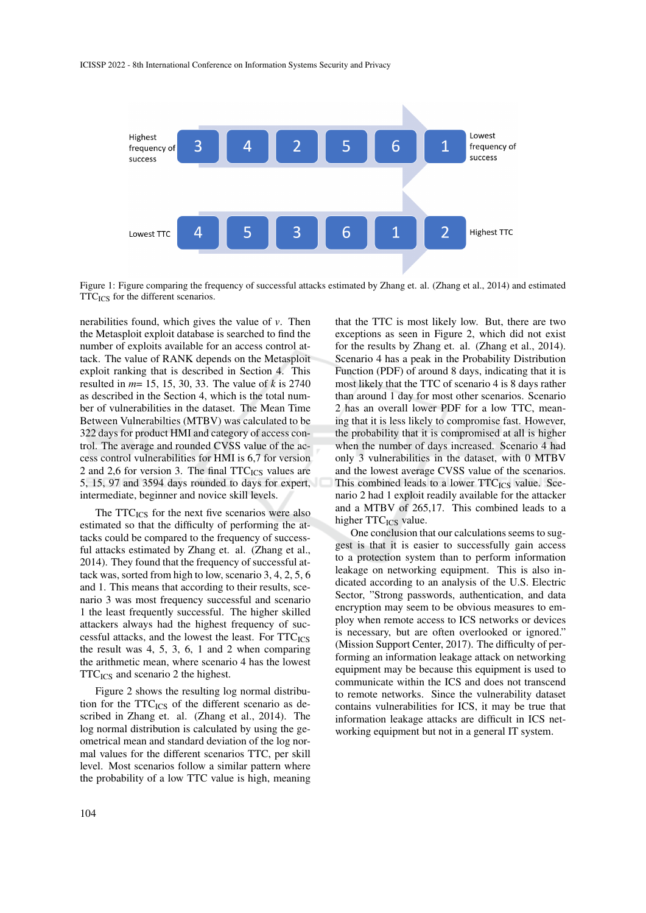

Figure 1: Figure comparing the frequency of successful attacks estimated by Zhang et. al. (Zhang et al., 2014) and estimated TTC<sub>ICS</sub> for the different scenarios.

nerabilities found, which gives the value of *v*. Then the Metasploit exploit database is searched to find the number of exploits available for an access control attack. The value of RANK depends on the Metasploit exploit ranking that is described in Section 4. This resulted in *m*= 15, 15, 30, 33. The value of *k* is 2740 as described in the Section 4, which is the total number of vulnerabilities in the dataset. The Mean Time Between Vulnerabilties (MTBV) was calculated to be 322 days for product HMI and category of access control. The average and rounded CVSS value of the access control vulnerabilities for HMI is 6,7 for version 2 and 2,6 for version 3. The final  $TTC_{ICS}$  values are 5, 15, 97 and 3594 days rounded to days for expert, intermediate, beginner and novice skill levels.

The  $TTC_{ICS}$  for the next five scenarios were also estimated so that the difficulty of performing the attacks could be compared to the frequency of successful attacks estimated by Zhang et. al. (Zhang et al., 2014). They found that the frequency of successful attack was, sorted from high to low, scenario 3, 4, 2, 5, 6 and 1. This means that according to their results, scenario 3 was most frequency successful and scenario 1 the least frequently successful. The higher skilled attackers always had the highest frequency of successful attacks, and the lowest the least. For  $TTC_{ICS}$ the result was 4, 5, 3, 6, 1 and 2 when comparing the arithmetic mean, where scenario 4 has the lowest  $TTC_{ICS}$  and scenario 2 the highest.

Figure 2 shows the resulting log normal distribution for the  $TTC_{ICS}$  of the different scenario as described in Zhang et. al. (Zhang et al., 2014). The log normal distribution is calculated by using the geometrical mean and standard deviation of the log normal values for the different scenarios TTC, per skill level. Most scenarios follow a similar pattern where the probability of a low TTC value is high, meaning

that the TTC is most likely low. But, there are two exceptions as seen in Figure 2, which did not exist for the results by Zhang et. al. (Zhang et al., 2014). Scenario 4 has a peak in the Probability Distribution Function (PDF) of around 8 days, indicating that it is most likely that the TTC of scenario 4 is 8 days rather than around 1 day for most other scenarios. Scenario 2 has an overall lower PDF for a low TTC, meaning that it is less likely to compromise fast. However, the probability that it is compromised at all is higher when the number of days increased. Scenario 4 had only 3 vulnerabilities in the dataset, with 0 MTBV and the lowest average CVSS value of the scenarios. This combined leads to a lower  $TTC_{ICS}$  value. Scenario 2 had 1 exploit readily available for the attacker and a MTBV of 265,17. This combined leads to a higher TTC<sub>ICS</sub> value.

One conclusion that our calculations seems to suggest is that it is easier to successfully gain access to a protection system than to perform information leakage on networking equipment. This is also indicated according to an analysis of the U.S. Electric Sector, "Strong passwords, authentication, and data encryption may seem to be obvious measures to employ when remote access to ICS networks or devices is necessary, but are often overlooked or ignored." (Mission Support Center, 2017). The difficulty of performing an information leakage attack on networking equipment may be because this equipment is used to communicate within the ICS and does not transcend to remote networks. Since the vulnerability dataset contains vulnerabilities for ICS, it may be true that information leakage attacks are difficult in ICS networking equipment but not in a general IT system.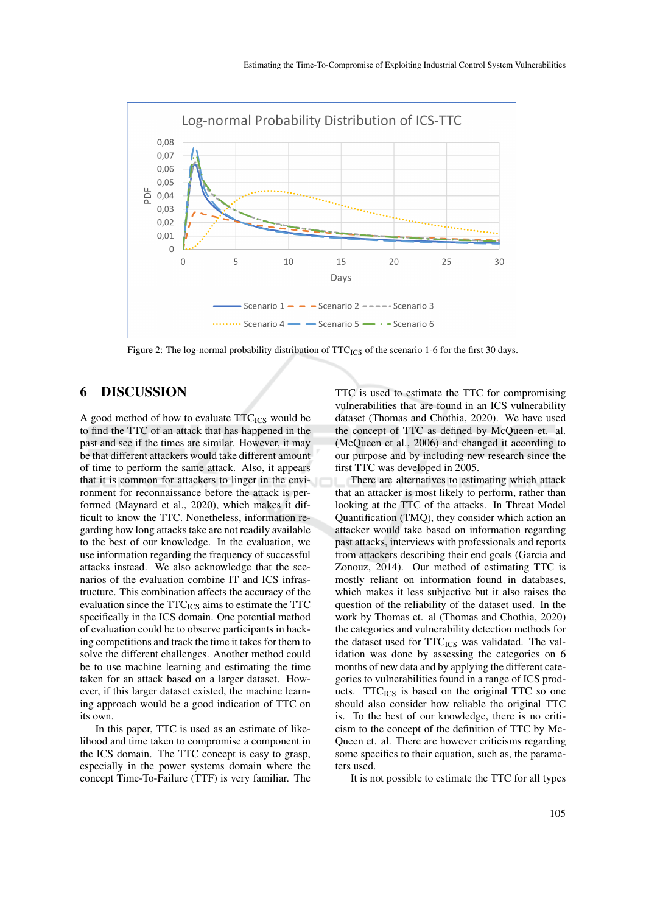

Figure 2: The log-normal probability distribution of TTC<sub>ICS</sub> of the scenario 1-6 for the first 30 days.

## 6 DISCUSSION

A good method of how to evaluate  $TTC_{ICS}$  would be to find the TTC of an attack that has happened in the past and see if the times are similar. However, it may be that different attackers would take different amount of time to perform the same attack. Also, it appears that it is common for attackers to linger in the environment for reconnaissance before the attack is performed (Maynard et al., 2020), which makes it difficult to know the TTC. Nonetheless, information regarding how long attacks take are not readily available to the best of our knowledge. In the evaluation, we use information regarding the frequency of successful attacks instead. We also acknowledge that the scenarios of the evaluation combine IT and ICS infrastructure. This combination affects the accuracy of the evaluation since the  $TTC_{ICS}$  aims to estimate the  $TTC$ specifically in the ICS domain. One potential method of evaluation could be to observe participants in hacking competitions and track the time it takes for them to solve the different challenges. Another method could be to use machine learning and estimating the time taken for an attack based on a larger dataset. However, if this larger dataset existed, the machine learning approach would be a good indication of TTC on its own.

In this paper, TTC is used as an estimate of likelihood and time taken to compromise a component in the ICS domain. The TTC concept is easy to grasp, especially in the power systems domain where the concept Time-To-Failure (TTF) is very familiar. The TTC is used to estimate the TTC for compromising vulnerabilities that are found in an ICS vulnerability dataset (Thomas and Chothia, 2020). We have used the concept of TTC as defined by McQueen et. al. (McQueen et al., 2006) and changed it according to our purpose and by including new research since the first TTC was developed in 2005.

There are alternatives to estimating which attack that an attacker is most likely to perform, rather than looking at the TTC of the attacks. In Threat Model Quantification (TMQ), they consider which action an attacker would take based on information regarding past attacks, interviews with professionals and reports from attackers describing their end goals (Garcia and Zonouz, 2014). Our method of estimating TTC is mostly reliant on information found in databases, which makes it less subjective but it also raises the question of the reliability of the dataset used. In the work by Thomas et. al (Thomas and Chothia, 2020) the categories and vulnerability detection methods for the dataset used for  $TTC_{ICS}$  was validated. The validation was done by assessing the categories on 6 months of new data and by applying the different categories to vulnerabilities found in a range of ICS products. TTC<sub>ICS</sub> is based on the original TTC so one should also consider how reliable the original TTC is. To the best of our knowledge, there is no criticism to the concept of the definition of TTC by Mc-Queen et. al. There are however criticisms regarding some specifics to their equation, such as, the parameters used.

It is not possible to estimate the TTC for all types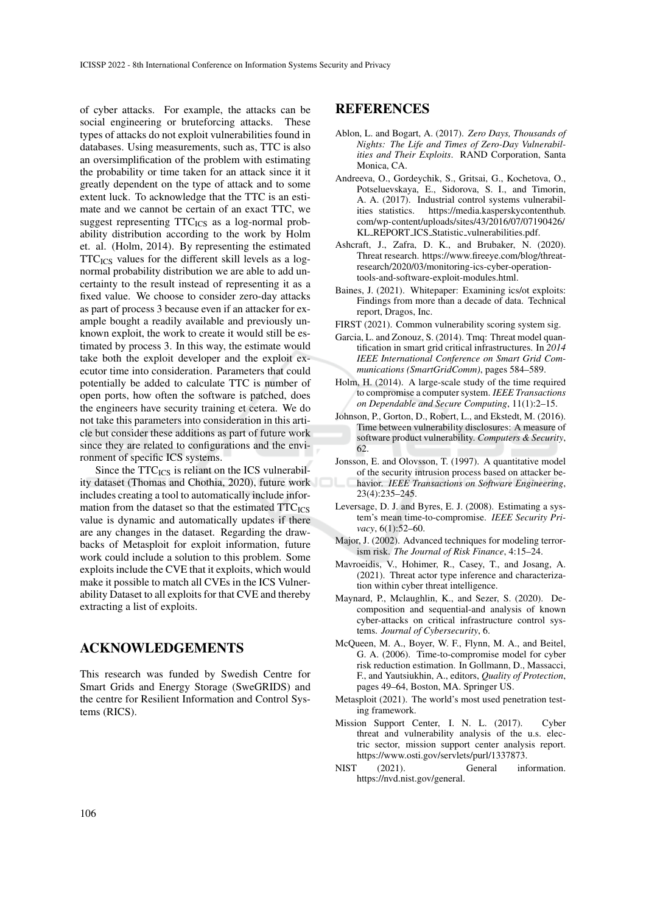of cyber attacks. For example, the attacks can be social engineering or bruteforcing attacks. These types of attacks do not exploit vulnerabilities found in databases. Using measurements, such as, TTC is also an oversimplification of the problem with estimating the probability or time taken for an attack since it it greatly dependent on the type of attack and to some extent luck. To acknowledge that the TTC is an estimate and we cannot be certain of an exact TTC, we suggest representing  $TTC_{\text{ICS}}$  as a log-normal probability distribution according to the work by Holm et. al. (Holm, 2014). By representing the estimated  $TTC<sub>ICS</sub>$  values for the different skill levels as a lognormal probability distribution we are able to add uncertainty to the result instead of representing it as a fixed value. We choose to consider zero-day attacks as part of process 3 because even if an attacker for example bought a readily available and previously unknown exploit, the work to create it would still be estimated by process 3. In this way, the estimate would take both the exploit developer and the exploit executor time into consideration. Parameters that could potentially be added to calculate TTC is number of open ports, how often the software is patched, does the engineers have security training et cetera. We do not take this parameters into consideration in this article but consider these additions as part of future work since they are related to configurations and the environment of specific ICS systems.

Since the  $TTC_{ICS}$  is reliant on the ICS vulnerability dataset (Thomas and Chothia, 2020), future work includes creating a tool to automatically include information from the dataset so that the estimated  $TTC_{ICS}$ value is dynamic and automatically updates if there are any changes in the dataset. Regarding the drawbacks of Metasploit for exploit information, future work could include a solution to this problem. Some exploits include the CVE that it exploits, which would make it possible to match all CVEs in the ICS Vulnerability Dataset to all exploits for that CVE and thereby extracting a list of exploits.

### ACKNOWLEDGEMENTS

This research was funded by Swedish Centre for Smart Grids and Energy Storage (SweGRIDS) and the centre for Resilient Information and Control Systems (RICS).

### REFERENCES

- Ablon, L. and Bogart, A. (2017). *Zero Days, Thousands of Nights: The Life and Times of Zero-Day Vulnerabilities and Their Exploits*. RAND Corporation, Santa Monica, CA.
- Andreeva, O., Gordeychik, S., Gritsai, G., Kochetova, O., Potseluevskaya, E., Sidorova, S. I., and Timorin, A. A. (2017). Industrial control systems vulnerabilities statistics. https://media.kasperskycontenthub. com/wp-content/uploads/sites/43/2016/07/07190426/ KL REPORT ICS Statistic vulnerabilities.pdf.
- Ashcraft, J., Zafra, D. K., and Brubaker, N. (2020). Threat research. https://www.fireeye.com/blog/threatresearch/2020/03/monitoring-ics-cyber-operationtools-and-software-exploit-modules.html.
- Baines, J. (2021). Whitepaper: Examining ics/ot exploits: Findings from more than a decade of data. Technical report, Dragos, Inc.
- FIRST (2021). Common vulnerability scoring system sig.
- Garcia, L. and Zonouz, S. (2014). Tmq: Threat model quantification in smart grid critical infrastructures. In *2014 IEEE International Conference on Smart Grid Communications (SmartGridComm)*, pages 584–589.
- Holm, H. (2014). A large-scale study of the time required to compromise a computer system. *IEEE Transactions on Dependable and Secure Computing*, 11(1):2–15.
- Johnson, P., Gorton, D., Robert, L., and Ekstedt, M. (2016). Time between vulnerability disclosures: A measure of software product vulnerability. *Computers & Security*, 62.
- Jonsson, E. and Olovsson, T. (1997). A quantitative model of the security intrusion process based on attacker behavior. *IEEE Transactions on Software Engineering*, 23(4):235–245.
- Leversage, D. J. and Byres, E. J. (2008). Estimating a system's mean time-to-compromise. *IEEE Security Privacy*, 6(1):52–60.
- Major, J. (2002). Advanced techniques for modeling terrorism risk. *The Journal of Risk Finance*, 4:15–24.
- Mavroeidis, V., Hohimer, R., Casey, T., and Josang, A. (2021). Threat actor type inference and characterization within cyber threat intelligence.
- Maynard, P., Mclaughlin, K., and Sezer, S. (2020). Decomposition and sequential-and analysis of known cyber-attacks on critical infrastructure control systems. *Journal of Cybersecurity*, 6.
- McQueen, M. A., Boyer, W. F., Flynn, M. A., and Beitel, G. A. (2006). Time-to-compromise model for cyber risk reduction estimation. In Gollmann, D., Massacci, F., and Yautsiukhin, A., editors, *Quality of Protection*, pages 49–64, Boston, MA. Springer US.
- Metasploit (2021). The world's most used penetration testing framework.
- Mission Support Center, I. N. L. (2017). Cyber threat and vulnerability analysis of the u.s. electric sector, mission support center analysis report. https://www.osti.gov/servlets/purl/1337873.
- NIST (2021). General information. https://nvd.nist.gov/general.